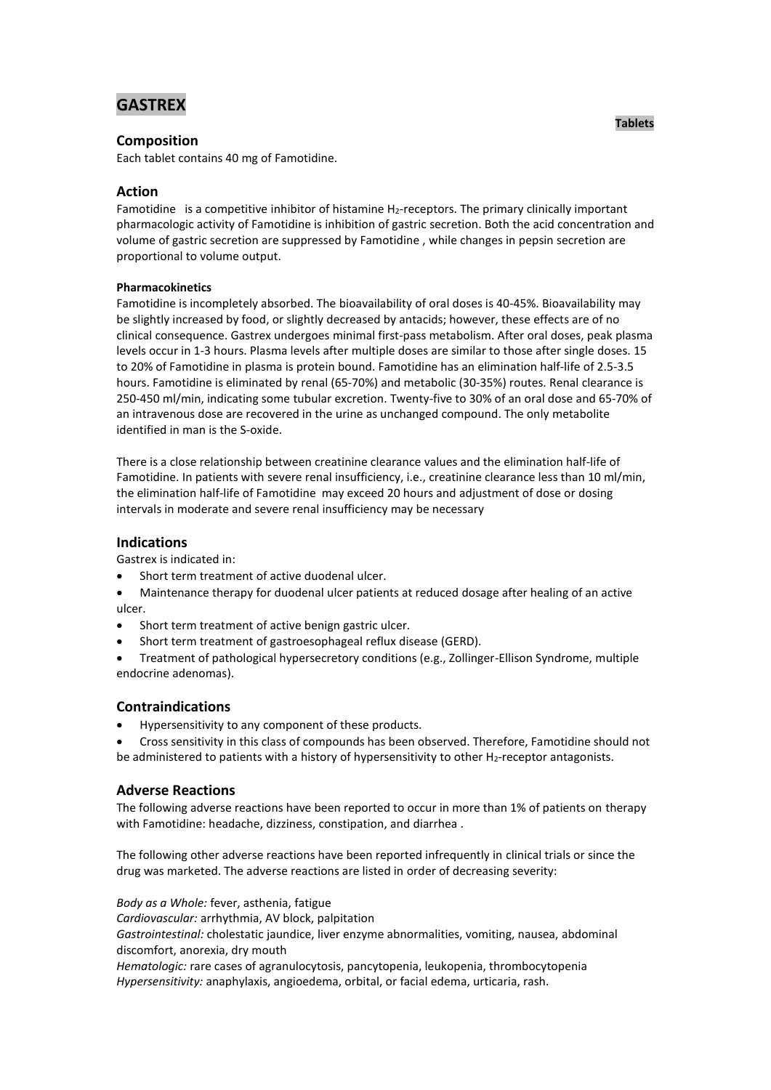# **GASTREX**

# **Composition**

Each tablet contains 40 mg of Famotidine.

# **Action**

Famotidine is a competitive [inhibitor](javascript:defwindow() o[f histamine](javascript:defwindow() H<sub>2</sub>-receptors. The [primary](javascript:defwindow() clinically important pharmacologic [activity](javascript:defwindow() of Famotidine is [inhibition](javascript:defwindow() of [gastric](javascript:defwindow() secretion. Both the [acid](javascript:defwindow() [concentration](javascript:defwindow() and [volume](javascript:defwindow() of [gastric](javascript:defwindow() [secretion](javascript:defwindow() are suppressed by Famotidine , while changes i[n pepsin](javascript:defwindow() [secretion](javascript:defwindow() are proportional t[o volume](javascript:defwindow() output.

## **Pharmacokinetics**

Famotidine is incompletely absorbed. The [bioavailability](javascript:defwindow() o[f oral](javascript:defwindow() doses is 40-45%. Bioavailability may be slightly increased by food, or slightly decreased by antacids; however, these effects are of no [clinical](javascript:defwindow() consequence. Gastrex undergoes [minimal](javascript:defwindow() first-pass metabolism. After [oral](javascript:defwindow() doses, peak [plasma](javascript:defwindow() levels occur in 1-3 hours. Plasma levels afte[r multiple](javascript:defwindow() doses are similar to those after single doses. 15 to 20% of Famotidine in [plasma](javascript:defwindow() is [protein](javascript:defwindow() bound. Famotidine has an [elimination](javascript:defwindow() [half-life](javascript:defwindow() of 2.5-3.5 hours. Famotidine is eliminated b[y renal](javascript:defwindow() (65-70%) and metabolic (30-35%) routes. Rena[l clearance](javascript:defwindow() is 250-450 ml/min, indicating som[e tubular](javascript:defwindow() excretion. Twenty-five to 30% of an [oral](javascript:defwindow() [dose](javascript:defwindow() and 65-70% of a[n intravenous](javascript:defwindow() [dose](javascript:defwindow() are recovered in the [urine](javascript:defwindow() as unchanged compound. The onl[y metabolite](javascript:defwindow() identified in [man](javascript:defwindow() is the S-oxide.

There is a close relationship between [creatinine](javascript:defwindow() [clearance](javascript:defwindow() values and the [elimination](javascript:defwindow() [half-life](javascript:defwindow() of Famotidine. [In](javascript:defwindow() patients with sever[e renal](javascript:defwindow() insufficiency, i.e., [creatinine](javascript:defwindow() [clearance](javascript:defwindow() less than 10 ml/min, the [elimination](javascript:defwindow() [half-life](javascript:defwindow() of Famotidine may exceed 20 hours an[d adjustment](javascript:defwindow() of [dose](javascript:defwindow() or dosing intervals in moderate and severe [renal](javascript:defwindow() [insufficiency](javascript:defwindow() may be necessary

## **Indications**

Gastrex is indicated in:

- Short [term](javascript:defwindow() [treatment](javascript:defwindow() of active [duodenal](javascript:defwindow() ulcer.
- Maintenance [therapy](javascript:defwindow() for [duodenal](javascript:defwindow() [ulcer](javascript:defwindow() patients at reduce[d dosage](javascript:defwindow() afte[r healing](javascript:defwindow() of an active ulcer.
- Short [term](javascript:defwindow() [treatment](javascript:defwindow() of active [benign](javascript:defwindow() [gastric](javascript:defwindow() ulcer.
- Short [term](javascript:defwindow() [treatment](javascript:defwindow() o[f gastroesophageal](javascript:defwindow() [reflux](javascript:defwindow() [disease](javascript:defwindow() (GERD).
- Treatment of pathological hypersecretory conditions (e.g., Zollinger-Ellison Syndrome, [multiple](javascript:defwindow() [endocrine](javascript:defwindow() adenomas).

## **Contraindications**

- Hypersensitivity to any [component](javascript:defwindow() of these products.
- Cross [sensitivity](javascript:defwindow() in this [class](javascript:defwindow() of compounds has been observed. Therefore, Famotidine should not be administered to patients with a [history](javascript:defwindow() o[f hypersensitivity](javascript:defwindow() to other H<sub>2</sub>-receptor antagonists.

## **Adverse Reactions**

The following adverse reactions have been reported to occur in more than 1% of patients on [therapy](javascript:defwindow() with Famotidine: [headache,](javascript:defwindow() [dizziness,](javascript:defwindow() [constipation,](javascript:defwindow() and [diarrhea](javascript:defwindow() .

The following other adverse reactions have been reported infrequently i[n clinical](javascript:defwindow() trials or since the [drug](javascript:defwindow() was marketed. The adverse reactions are listed in [order](javascript:defwindow() of decreasing severity:

*Body as a Whole:* fever, asthenia[, fatigue](javascript:defwindow() *Cardiovascular:* arrhythmia, AV block, [palpitation](javascript:defwindow() *Gastrointestinal:* cholestatic jaundice, [liver](javascript:defwindow() [enzyme](javascript:defwindow() abnormalities, vomiting, nausea, [abdominal](javascript:defwindow() discomfort, anorexia, dr[y mouth](javascript:defwindow() *Hematologic:* rare cases of agranulocytosis, pancytopenia, leukopenia, thrombocytopenia *Hypersensitivity:* anaphylaxis, angioedema, orbital, or [facial](javascript:defwindow() edema, urticaria, rash.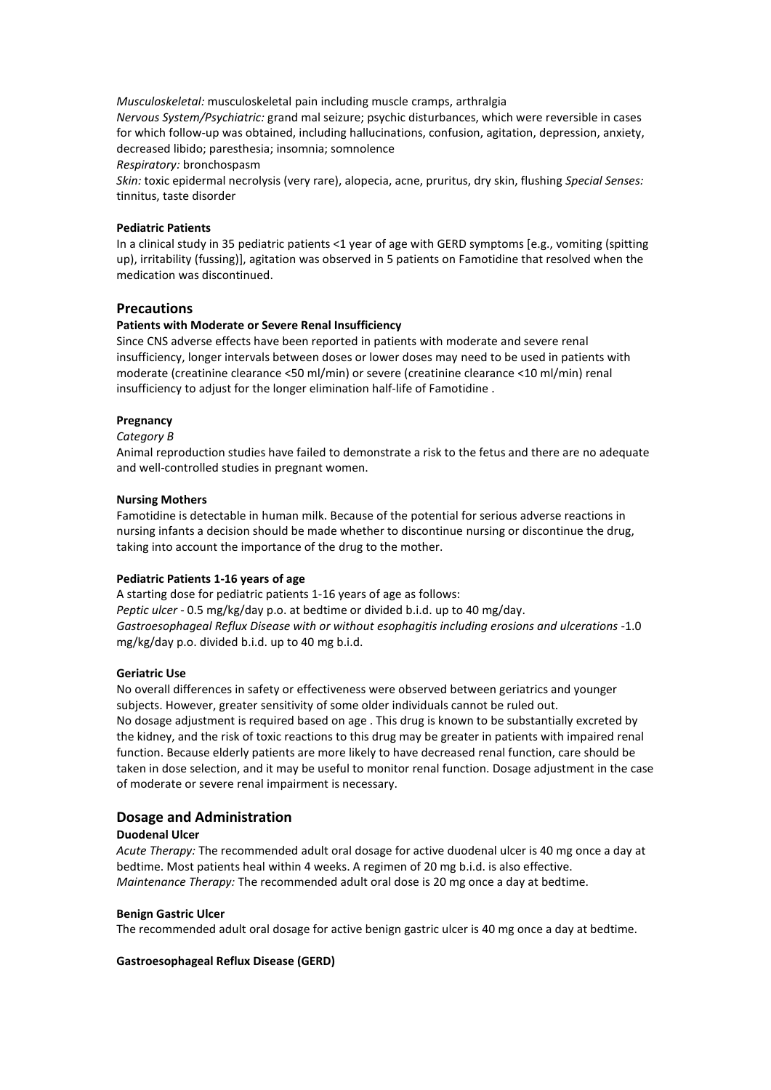*Musculoskeletal:* musculoskeletal [pain](javascript:defwindow() including [muscle](javascript:defwindow() cramps, [arthralgia](javascript:defwindow()

*Nervous System/Psychiatric:* gran[d mal](javascript:defwindow() seizure[; psychic](javascript:defwindow() disturbances, which wer[e reversible](javascript:defwindow() in cases for whic[h follow-up](javascript:defwindow() was obtained, including hallucinations, confusion, agitation, depression, anxiety, decreased libido; paresthesia; insomnia; somnolence

*Respiratory:* bronchospasm

*Skin:* toxic epiderma[l necrolysis](javascript:defwindow() (very rare), alopecia, acne, pruritus, dry skin, flushing *Special Senses:*  tinnitus[, taste](javascript:defwindow() disorder

#### **Pediatric Patients**

In a [clinical](javascript:defwindow() study in 35 [pediatric](javascript:defwindow() patients <1 year o[f age](javascript:defwindow() wit[h GERD](javascript:defwindow() symptoms [e.g.[, vomiting](javascript:defwindow() (spitting up)[, irritability](javascript:defwindow() (fussing)][, agitation](javascript:defwindow() was observed in 5 patients on [Famotidine](javascript:defwindow() that resolved when the [medication](javascript:defwindow() was discontinued.

## **Precautions**

## **Patients with Moderate or Severe Renal Insufficiency**

Sinc[e CNS](javascript:defwindow() adverse effects have been reported in patients with moderate and sever[e renal](javascript:defwindow() insufficiency, longer intervals between doses or lower doses may [need](javascript:defwindow() to be used in patients with moderate (creatinin[e clearance](javascript:defwindow() <50 ml/min) or severe (creatinin[e clearance](javascript:defwindow() <10 ml/min) [renal](javascript:defwindow() [insufficiency](javascript:defwindow() to adjust for the longer [elimination](javascript:defwindow() [half-life](javascript:defwindow() o[f Famotidine](javascript:defwindow() .

### **Pregnancy**

#### *Category B*

Animal reproduction studies have failed to demonstrate a risk to the fetus and there are no adequate and well-controlled studies in pregnant women.

#### **Nursing Mothers**

Famotidine is detectable in [human](javascript:defwindow() milk. Because of th[e potential](javascript:defwindow() for serious adverse reactions in [nursing](javascript:defwindow() infants a decision should be made whether to discontinue [nursing](javascript:defwindow() or discontinue the drug, taking into account the importance of th[e drug](javascript:defwindow() to the mother.

#### **Pediatric Patients 1-16 years of age**

A startin[g dose](javascript:defwindow() for [pediatric](javascript:defwindow() patients 1-16 years of [age](javascript:defwindow() as follows: *Peptic ulcer* - 0.5 mg/kg/day p.o. at bedtime or divided b.i.d. up to 40 mg/day. *Gastroesophageal Reflux Disease with or without [esophagitis](javascript:defwindow() including erosions and ulcerations* -1.0 mg/kg/day p.o. divided b.i.d. up to 40 [mg](javascript:defwindow() b.i.d.

#### **Geriatric Use**

No overall differences in safety or [effectiveness](javascript:defwindow() were observed between geriatrics and younger subjects. However, greate[r sensitivity](javascript:defwindow() of some older individuals cannot be ruled out. No [dosage](javascript:defwindow() [adjustment](javascript:defwindow() is required based on [age](javascript:defwindow() . This [drug](javascript:defwindow() is known to be substantially excreted by the kidney, and the [risk](javascript:defwindow() of [toxic](javascript:defwindow() reactions to thi[s drug](javascript:defwindow() may be greater in patients with impaire[d renal](javascript:defwindow() function. Because elderly patients are more likely to have decrease[d renal](javascript:defwindow() function, care should be taken in [dose](javascript:defwindow() selection, and it may be useful to [monitor](javascript:defwindow() [renal](javascript:defwindow() function. Dosag[e adjustment](javascript:defwindow() in the [case](javascript:defwindow() of moderate or severe [renal](javascript:defwindow() [impairment](javascript:defwindow() is necessary.

## **Dosage and Administration**

## **Duodenal Ulcer**

*Acute Therapy:* The recommende[d adult](javascript:defwindow() [oral](javascript:defwindow() [dosage](javascript:defwindow() for activ[e duodenal](javascript:defwindow() [ulcer](javascript:defwindow() is 4[0 mg](javascript:defwindow() once a day at bedtime. Most patient[s heal](javascript:defwindow() within 4 weeks. A [regimen](javascript:defwindow() of 2[0 mg](javascript:defwindow() b.i.d. is also effective. *Maintenance Therapy:* The recommended [adult](javascript:defwindow() [oral](javascript:defwindow() [dose](javascript:defwindow() is 20 [mg](javascript:defwindow() once a day at bedtime.

#### **Benign Gastric Ulcer**

The recommended [adult](javascript:defwindow() [oral](javascript:defwindow() [dosage](javascript:defwindow() for active [benign](javascript:defwindow() [gastric](javascript:defwindow() [ulcer](javascript:defwindow() is 4[0 mg](javascript:defwindow() once a day at bedtime.

## **Gastroesophageal Reflux Disease (GERD)**